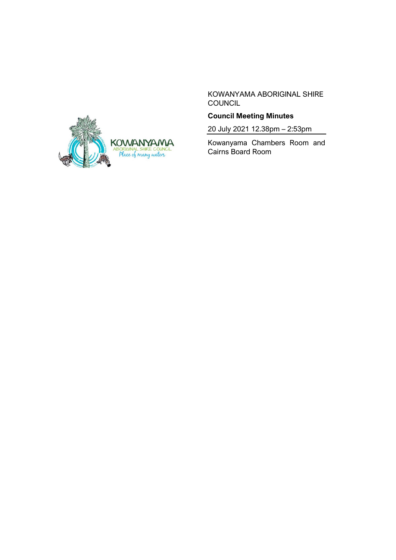KOWANYAMA ABORIGINAL SHIRE COUNCIL

# **Council Meeting Minutes**

20 July 2021 12.38pm – 2:53pm

Kowanyama Chambers Room and Cairns Board Room

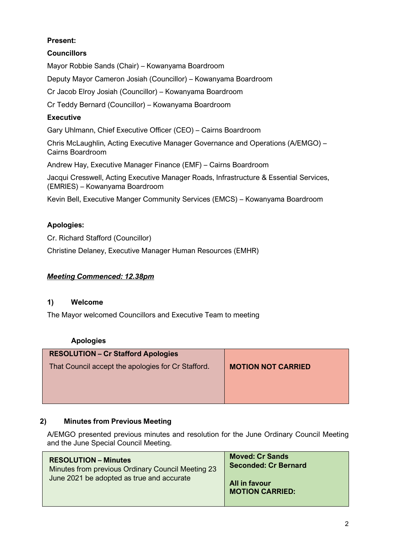# **Present:**

# **Councillors**

Mayor Robbie Sands (Chair) – Kowanyama Boardroom Deputy Mayor Cameron Josiah (Councillor) – Kowanyama Boardroom Cr Jacob Elroy Josiah (Councillor) – Kowanyama Boardroom Cr Teddy Bernard (Councillor) – Kowanyama Boardroom

## **Executive**

Gary Uhlmann, Chief Executive Officer (CEO) – Cairns Boardroom

Chris McLaughlin, Acting Executive Manager Governance and Operations (A/EMGO) – Cairns Boardroom

Andrew Hay, Executive Manager Finance (EMF) – Cairns Boardroom

Jacqui Cresswell, Acting Executive Manager Roads, Infrastructure & Essential Services, (EMRIES) – Kowanyama Boardroom

Kevin Bell, Executive Manger Community Services (EMCS) – Kowanyama Boardroom

## **Apologies:**

Cr. Richard Stafford (Councillor) Christine Delaney, Executive Manager Human Resources (EMHR)

## *Meeting Commenced: 12.38pm*

## **1) Welcome**

The Mayor welcomed Councillors and Executive Team to meeting

## **Apologies**

| <b>RESOLUTION - Cr Stafford Apologies</b>          |                           |
|----------------------------------------------------|---------------------------|
| That Council accept the apologies for Cr Stafford. | <b>MOTION NOT CARRIED</b> |

## **2) Minutes from Previous Meeting**

A/EMGO presented previous minutes and resolution for the June Ordinary Council Meeting and the June Special Council Meeting.

| <b>RESOLUTION – Minutes</b><br>Minutes from previous Ordinary Council Meeting 23<br>June 2021 be adopted as true and accurate | <b>Moved: Cr Sands</b><br><b>Seconded: Cr Bernard</b> |  |
|-------------------------------------------------------------------------------------------------------------------------------|-------------------------------------------------------|--|
|                                                                                                                               | All in favour<br><b>MOTION CARRIED:</b>               |  |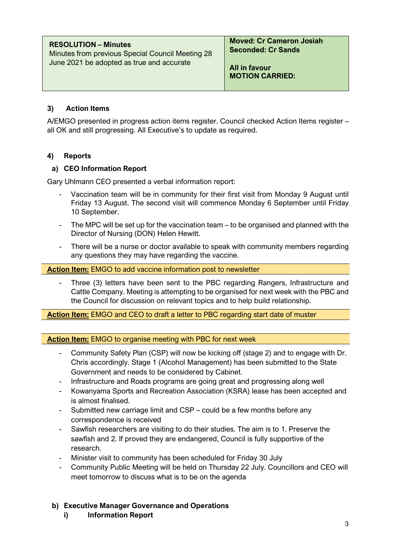| <b>RESOLUTION – Minutes</b><br>Minutes from previous Special Council Meeting 28<br>June 2021 be adopted as true and accurate | <b>Moved: Cr Cameron Josiah</b><br><b>Seconded: Cr Sands</b> |  |
|------------------------------------------------------------------------------------------------------------------------------|--------------------------------------------------------------|--|
|                                                                                                                              | All in favour<br><b>MOTION CARRIED:</b>                      |  |

## **3) Action Items**

A/EMGO presented in progress action items register. Council checked Action Items register – all OK and still progressing. All Executive's to update as required.

## **4) Reports**

## **a) CEO Information Report**

Gary Uhlmann CEO presented a verbal information report:

- Vaccination team will be in community for their first visit from Monday 9 August until Friday 13 August. The second visit will commence Monday 6 September until Friday 10 September.
- The MPC will be set up for the vaccination team to be organised and planned with the Director of Nursing (DON) Helen Hewitt.
- There will be a nurse or doctor available to speak with community members regarding any questions they may have regarding the vaccine.

**Action Item:** EMGO to add vaccine information post to newsletter

Three (3) letters have been sent to the PBC regarding Rangers, Infrastructure and Cattle Company. Meeting is attempting to be organised for next week with the PBC and the Council for discussion on relevant topics and to help build relationship.

**Action Item:** EMGO and CEO to draft a letter to PBC regarding start date of muster

**Action Item:** EMGO to organise meeting with PBC for next week

- Community Safety Plan (CSP) will now be kicking off (stage 2) and to engage with Dr. Chris accordingly. Stage 1 (Alcohol Management) has been submitted to the State Government and needs to be considered by Cabinet.
- Infrastructure and Roads programs are going great and progressing along well
- Kowanyama Sports and Recreation Association (KSRA) lease has been accepted and is almost finalised.
- Submitted new carriage limit and CSP could be a few months before any correspondence is received
- Sawfish researchers are visiting to do their studies. The aim is to 1. Preserve the sawfish and 2. If proved they are endangered, Council is fully supportive of the research.
- Minister visit to community has been scheduled for Friday 30 July
- Community Public Meeting will be held on Thursday 22 July. Councillors and CEO will meet tomorrow to discuss what is to be on the agenda

## **b) Executive Manager Governance and Operations**

**i) Information Report**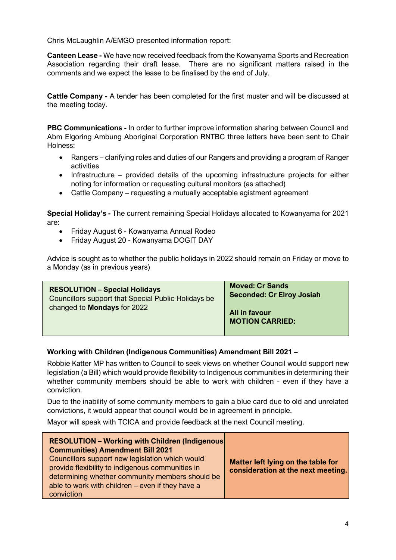Chris McLaughlin A/EMGO presented information report:

**Canteen Lease -** We have now received feedback from the Kowanyama Sports and Recreation Association regarding their draft lease. There are no significant matters raised in the comments and we expect the lease to be finalised by the end of July.

**Cattle Company -** A tender has been completed for the first muster and will be discussed at the meeting today.

**PBC Communications -** In order to further improve information sharing between Council and Abm Elgoring Ambung Aboriginal Corporation RNTBC three letters have been sent to Chair Holness:

- Rangers clarifying roles and duties of our Rangers and providing a program of Ranger activities
- Infrastructure provided details of the upcoming infrastructure projects for either noting for information or requesting cultural monitors (as attached)
- Cattle Company requesting a mutually acceptable agistment agreement

**Special Holiday's -** The current remaining Special Holidays allocated to Kowanyama for 2021 are:

- Friday August 6 Kowanyama Annual Rodeo
- Friday August 20 Kowanyama DOGIT DAY

Advice is sought as to whether the public holidays in 2022 should remain on Friday or move to a Monday (as in previous years)

| <b>RESOLUTION - Special Holidays</b><br>Councillors support that Special Public Holidays be<br>changed to <b>Mondays</b> for 2022 | <b>Moved: Cr Sands</b><br><b>Seconded: Cr Elroy Josiah</b> |  |
|-----------------------------------------------------------------------------------------------------------------------------------|------------------------------------------------------------|--|
|                                                                                                                                   | All in favour<br><b>MOTION CARRIED:</b>                    |  |

#### **Working with Children (Indigenous Communities) Amendment Bill 2021 –**

Robbie Katter MP has written to Council to seek views on whether Council would support new legislation (a Bill) which would provide flexibility to Indigenous communities in determining their whether community members should be able to work with children - even if they have a conviction.

Due to the inability of some community members to gain a blue card due to old and unrelated convictions, it would appear that council would be in agreement in principle.

Mayor will speak with TCICA and provide feedback at the next Council meeting.

| <b>RESOLUTION - Working with Children (Indigenous)</b><br><b>Communities) Amendment Bill 2021</b><br>Councillors support new legislation which would<br>provide flexibility to indigenous communities in<br>determining whether community members should be<br>able to work with children – even if they have a<br>conviction | Matter left lying on the table for<br>consideration at the next meeting. |
|-------------------------------------------------------------------------------------------------------------------------------------------------------------------------------------------------------------------------------------------------------------------------------------------------------------------------------|--------------------------------------------------------------------------|
|-------------------------------------------------------------------------------------------------------------------------------------------------------------------------------------------------------------------------------------------------------------------------------------------------------------------------------|--------------------------------------------------------------------------|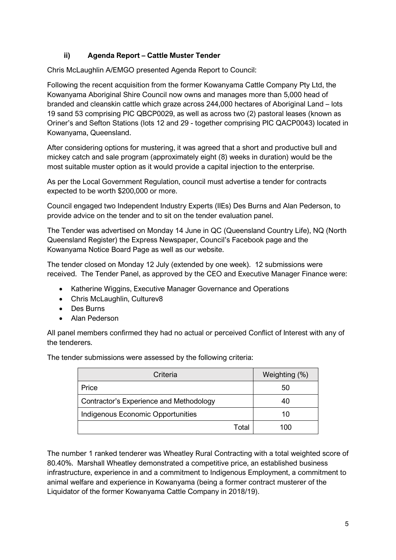# **ii) Agenda Report – Cattle Muster Tender**

Chris McLaughlin A/EMGO presented Agenda Report to Council:

Following the recent acquisition from the former Kowanyama Cattle Company Pty Ltd, the Kowanyama Aboriginal Shire Council now owns and manages more than 5,000 head of branded and cleanskin cattle which graze across 244,000 hectares of Aboriginal Land – lots 19 sand 53 comprising PIC QBCP0029, as well as across two (2) pastoral leases (known as Oriner's and Sefton Stations (lots 12 and 29 - together comprising PIC QACP0043) located in Kowanyama, Queensland.

After considering options for mustering, it was agreed that a short and productive bull and mickey catch and sale program (approximately eight (8) weeks in duration) would be the most suitable muster option as it would provide a capital injection to the enterprise.

As per the Local Government Regulation, council must advertise a tender for contracts expected to be worth \$200,000 or more.

Council engaged two Independent Industry Experts (IIEs) Des Burns and Alan Pederson, to provide advice on the tender and to sit on the tender evaluation panel.

The Tender was advertised on Monday 14 June in QC (Queensland Country Life), NQ (North Queensland Register) the Express Newspaper, Council's Facebook page and the Kowanyama Notice Board Page as well as our website.

The tender closed on Monday 12 July (extended by one week). 12 submissions were received. The Tender Panel, as approved by the CEO and Executive Manager Finance were:

- Katherine Wiggins, Executive Manager Governance and Operations
- Chris McLaughlin, Culturev8
- Des Burns
- Alan Pederson

All panel members confirmed they had no actual or perceived Conflict of Interest with any of the tenderers.

The tender submissions were assessed by the following criteria:

| Criteria                                | Weighting (%) |
|-----------------------------------------|---------------|
| Price                                   | 50            |
| Contractor's Experience and Methodology | 40            |
| Indigenous Economic Opportunities       | 10            |
| Total                                   | 100           |

The number 1 ranked tenderer was Wheatley Rural Contracting with a total weighted score of 80.40%. Marshall Wheatley demonstrated a competitive price, an established business infrastructure, experience in and a commitment to Indigenous Employment, a commitment to animal welfare and experience in Kowanyama (being a former contract musterer of the Liquidator of the former Kowanyama Cattle Company in 2018/19).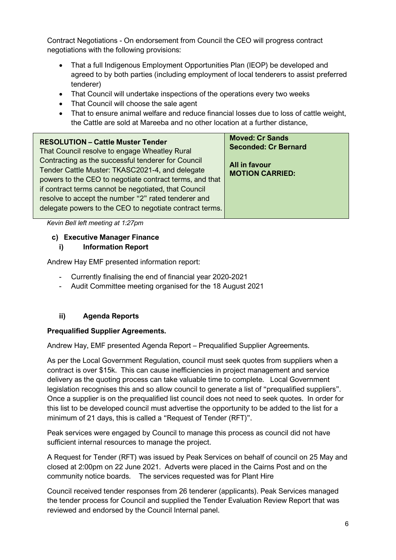Contract Negotiations - On endorsement from Council the CEO will progress contract negotiations with the following provisions:

- That a full Indigenous Employment Opportunities Plan (IEOP) be developed and agreed to by both parties (including employment of local tenderers to assist preferred tenderer)
- That Council will undertake inspections of the operations every two weeks
- That Council will choose the sale agent
- That to ensure animal welfare and reduce financial losses due to loss of cattle weight, the Cattle are sold at Mareeba and no other location at a further distance,

| <b>RESOLUTION - Cattle Muster Tender</b>                                                                        | <b>Moved: Cr Sands</b>      |
|-----------------------------------------------------------------------------------------------------------------|-----------------------------|
| That Council resolve to engage Wheatley Rural                                                                   | <b>Seconded: Cr Bernard</b> |
| Contracting as the successful tenderer for Council                                                              | All in favour               |
| Tender Cattle Muster: TKASC2021-4, and delegate                                                                 | <b>MOTION CARRIED:</b>      |
| powers to the CEO to negotiate contract terms, and that<br>if contract terms cannot be negotiated, that Council |                             |
| resolve to accept the number "2" rated tenderer and<br>delegate powers to the CEO to negotiate contract terms.  |                             |

*Kevin Bell left meeting at 1:27pm*

#### **c) Executive Manager Finance**

#### **i) Information Report**

Andrew Hay EMF presented information report:

- Currently finalising the end of financial year 2020-2021
- Audit Committee meeting organised for the 18 August 2021

#### **ii) Agenda Reports**

#### **Prequalified Supplier Agreements.**

Andrew Hay, EMF presented Agenda Report – Prequalified Supplier Agreements.

As per the Local Government Regulation, council must seek quotes from suppliers when a contract is over \$15k. This can cause inefficiencies in project management and service delivery as the quoting process can take valuable time to complete. Local Government legislation recognises this and so allow council to generate a list of "prequalified suppliers". Once a supplier is on the prequalified list council does not need to seek quotes. In order for this list to be developed council must advertise the opportunity to be added to the list for a minimum of 21 days, this is called a "Request of Tender (RFT)".

Peak services were engaged by Council to manage this process as council did not have sufficient internal resources to manage the project.

A Request for Tender (RFT) was issued by Peak Services on behalf of council on 25 May and closed at 2:00pm on 22 June 2021. Adverts were placed in the Cairns Post and on the community notice boards. The services requested was for Plant Hire

Council received tender responses from 26 tenderer (applicants). Peak Services managed the tender process for Council and supplied the Tender Evaluation Review Report that was reviewed and endorsed by the Council Internal panel.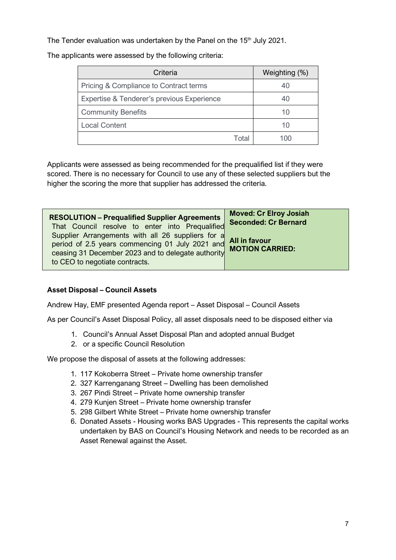The Tender evaluation was undertaken by the Panel on the 15<sup>th</sup> July 2021.

The applicants were assessed by the following criteria:

| Criteria                                   |       | Weighting (%) |
|--------------------------------------------|-------|---------------|
| Pricing & Compliance to Contract terms     |       | 40            |
| Expertise & Tenderer's previous Experience |       | 40            |
| <b>Community Benefits</b>                  |       | 10            |
| <b>Local Content</b>                       |       | 10            |
|                                            | Total | 100           |

Applicants were assessed as being recommended for the prequalified list if they were scored. There is no necessary for Council to use any of these selected suppliers but the higher the scoring the more that supplier has addressed the criteria.

| <b>RESOLUTION - Prequalified Supplier Agreements</b>                                                                                                                                                       | <b>Moved: Cr Elroy Josiah</b> |
|------------------------------------------------------------------------------------------------------------------------------------------------------------------------------------------------------------|-------------------------------|
| That Council resolve to enter into Prequalified                                                                                                                                                            | <b>Seconded: Cr Bernard</b>   |
| Supplier Arrangements with all 26 suppliers for a All in favour<br>period of 2.5 years commencing 01 July 2021 and<br>ceasing 31 December 2023 and to delegate authority<br>to CEO to negotiate contracts. | <b>MOTION CARRIED:</b>        |

## **Asset Disposal – Council Assets**

Andrew Hay, EMF presented Agenda report – Asset Disposal – Council Assets

As per Council's Asset Disposal Policy, all asset disposals need to be disposed either via

- 1. Council's Annual Asset Disposal Plan and adopted annual Budget
- 2. or a specific Council Resolution

We propose the disposal of assets at the following addresses:

- 1. 117 Kokoberra Street Private home ownership transfer
- 2. 327 Karrenganang Street Dwelling has been demolished
- 3. 267 Pindi Street Private home ownership transfer
- 4. 279 Kunjen Street Private home ownership transfer
- 5. 298 Gilbert White Street Private home ownership transfer
- 6. Donated Assets Housing works BAS Upgrades This represents the capital works undertaken by BAS on Council's Housing Network and needs to be recorded as an Asset Renewal against the Asset.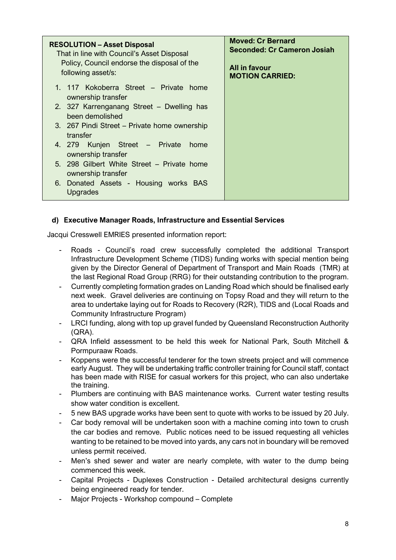| <b>RESOLUTION - Asset Disposal</b><br>That in line with Council's Asset Disposal<br>Policy, Council endorse the disposal of the<br>following asset/s: | <b>Moved: Cr Bernard</b><br><b>Seconded: Cr Cameron Josiah</b><br>All in favour<br><b>MOTION CARRIED:</b> |
|-------------------------------------------------------------------------------------------------------------------------------------------------------|-----------------------------------------------------------------------------------------------------------|
| 1. 117 Kokoberra Street – Private home<br>ownership transfer                                                                                          |                                                                                                           |
| 2. 327 Karrenganang Street – Dwelling has<br>been demolished                                                                                          |                                                                                                           |
| 3. 267 Pindi Street – Private home ownership<br>transfer                                                                                              |                                                                                                           |
| 4. 279 Kunjen Street – Private<br>home<br>ownership transfer                                                                                          |                                                                                                           |
| 5. 298 Gilbert White Street – Private home<br>ownership transfer                                                                                      |                                                                                                           |
| 6. Donated Assets - Housing works BAS<br>Upgrades                                                                                                     |                                                                                                           |

## **d) Executive Manager Roads, Infrastructure and Essential Services**

Jacqui Cresswell EMRIES presented information report:

- Roads Council's road crew successfully completed the additional Transport Infrastructure Development Scheme (TIDS) funding works with special mention being given by the Director General of Department of Transport and Main Roads (TMR) at the last Regional Road Group (RRG) for their outstanding contribution to the program.
- Currently completing formation grades on Landing Road which should be finalised early next week. Gravel deliveries are continuing on Topsy Road and they will return to the area to undertake laying out for Roads to Recovery (R2R), TIDS and (Local Roads and Community Infrastructure Program)
- LRCI funding, along with top up gravel funded by Queensland Reconstruction Authority (QRA).
- QRA Infield assessment to be held this week for National Park, South Mitchell & Pormpuraaw Roads.
- Koppens were the successful tenderer for the town streets project and will commence early August. They will be undertaking traffic controller training for Council staff, contact has been made with RISE for casual workers for this project, who can also undertake the training.
- Plumbers are continuing with BAS maintenance works. Current water testing results show water condition is excellent.
- 5 new BAS upgrade works have been sent to quote with works to be issued by 20 July.
- Car body removal will be undertaken soon with a machine coming into town to crush the car bodies and remove. Public notices need to be issued requesting all vehicles wanting to be retained to be moved into yards, any cars not in boundary will be removed unless permit received.
- Men's shed sewer and water are nearly complete, with water to the dump being commenced this week.
- Capital Projects Duplexes Construction Detailed architectural designs currently being engineered ready for tender.
- Major Projects Workshop compound Complete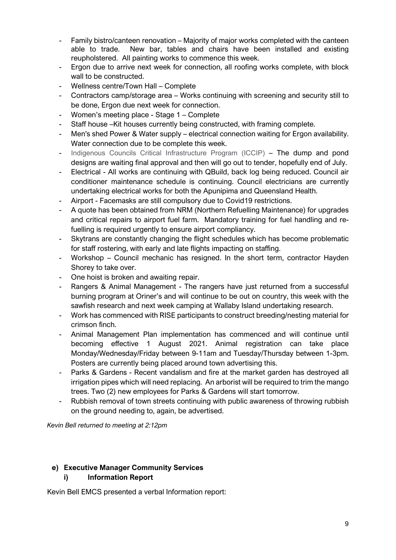- Family bistro/canteen renovation Majority of major works completed with the canteen able to trade. New bar, tables and chairs have been installed and existing reupholstered. All painting works to commence this week.
- Ergon due to arrive next week for connection, all roofing works complete, with block wall to be constructed.
- Wellness centre/Town Hall Complete
- Contractors camp/storage area Works continuing with screening and security still to be done, Ergon due next week for connection.
- Women's meeting place Stage 1 Complete
- Staff house –Kit houses currently being constructed, with framing complete.
- Men's shed Power & Water supply electrical connection waiting for Ergon availability. Water connection due to be complete this week.
- Indigenous Councils Critical Infrastructure Program (ICCIP) The dump and pond designs are waiting final approval and then will go out to tender, hopefully end of July.
- Electrical All works are continuing with QBuild, back log being reduced. Council air conditioner maintenance schedule is continuing. Council electricians are currently undertaking electrical works for both the Apunipima and Queensland Health.
- Airport Facemasks are still compulsory due to Covid19 restrictions.
- A quote has been obtained from NRM (Northern Refuelling Maintenance) for upgrades and critical repairs to airport fuel farm. Mandatory training for fuel handling and refuelling is required urgently to ensure airport compliancy.
- Skytrans are constantly changing the flight schedules which has become problematic for staff rostering, with early and late flights impacting on staffing.
- Workshop Council mechanic has resigned. In the short term, contractor Hayden Shorey to take over.
- One hoist is broken and awaiting repair.
- Rangers & Animal Management The rangers have just returned from a successful burning program at Oriner's and will continue to be out on country, this week with the sawfish research and next week camping at Wallaby Island undertaking research.
- Work has commenced with RISE participants to construct breeding/nesting material for crimson finch.
- Animal Management Plan implementation has commenced and will continue until becoming effective 1 August 2021. Animal registration can take place Monday/Wednesday/Friday between 9-11am and Tuesday/Thursday between 1-3pm. Posters are currently being placed around town advertising this.
- Parks & Gardens Recent vandalism and fire at the market garden has destroyed all irrigation pipes which will need replacing. An arborist will be required to trim the mango trees. Two (2) new employees for Parks & Gardens will start tomorrow.
- Rubbish removal of town streets continuing with public awareness of throwing rubbish on the ground needing to, again, be advertised.

*Kevin Bell returned to meeting at 2:12pm*

#### **e) Executive Manager Community Services i) Information Report**

Kevin Bell EMCS presented a verbal Information report: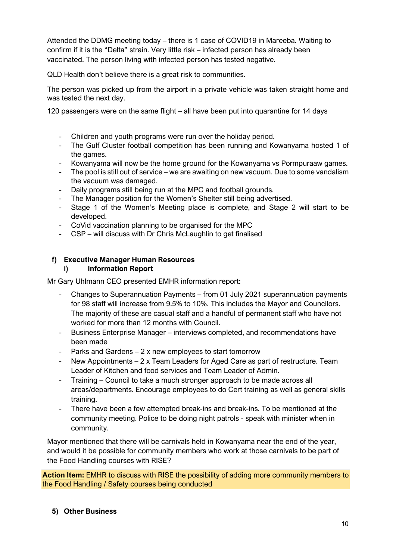Attended the DDMG meeting today – there is 1 case of COVID19 in Mareeba. Waiting to confirm if it is the "Delta" strain. Very little risk – infected person has already been vaccinated. The person living with infected person has tested negative.

QLD Health don't believe there is a great risk to communities.

The person was picked up from the airport in a private vehicle was taken straight home and was tested the next day.

120 passengers were on the same flight – all have been put into quarantine for 14 days

- Children and youth programs were run over the holiday period.
- The Gulf Cluster football competition has been running and Kowanyama hosted 1 of the games.
- Kowanyama will now be the home ground for the Kowanyama vs Pormpuraaw games.
- The pool is still out of service we are awaiting on new vacuum. Due to some vandalism the vacuum was damaged.
- Daily programs still being run at the MPC and football grounds.
- The Manager position for the Women's Shelter still being advertised.
- Stage 1 of the Women's Meeting place is complete, and Stage 2 will start to be developed.
- CoVid vaccination planning to be organised for the MPC
- CSP will discuss with Dr Chris McLaughlin to get finalised

#### **f) Executive Manager Human Resources i) Information Report**

Mr Gary Uhlmann CEO presented EMHR information report:

- Changes to Superannuation Payments from 01 July 2021 superannuation payments for 98 staff will increase from 9.5% to 10%. This includes the Mayor and Councilors. The majority of these are casual staff and a handful of permanent staff who have not worked for more than 12 months with Council.
- Business Enterprise Manager interviews completed, and recommendations have been made
- Parks and Gardens 2 x new employees to start tomorrow
- New Appointments 2 x Team Leaders for Aged Care as part of restructure. Team Leader of Kitchen and food services and Team Leader of Admin.
- Training Council to take a much stronger approach to be made across all areas/departments. Encourage employees to do Cert training as well as general skills training.
- There have been a few attempted break-ins and break-ins. To be mentioned at the community meeting. Police to be doing night patrols - speak with minister when in community.

Mayor mentioned that there will be carnivals held in Kowanyama near the end of the year, and would it be possible for community members who work at those carnivals to be part of the Food Handling courses with RISE?

**Action Item:** EMHR to discuss with RISE the possibility of adding more community members to the Food Handling / Safety courses being conducted

#### **5) Other Business**